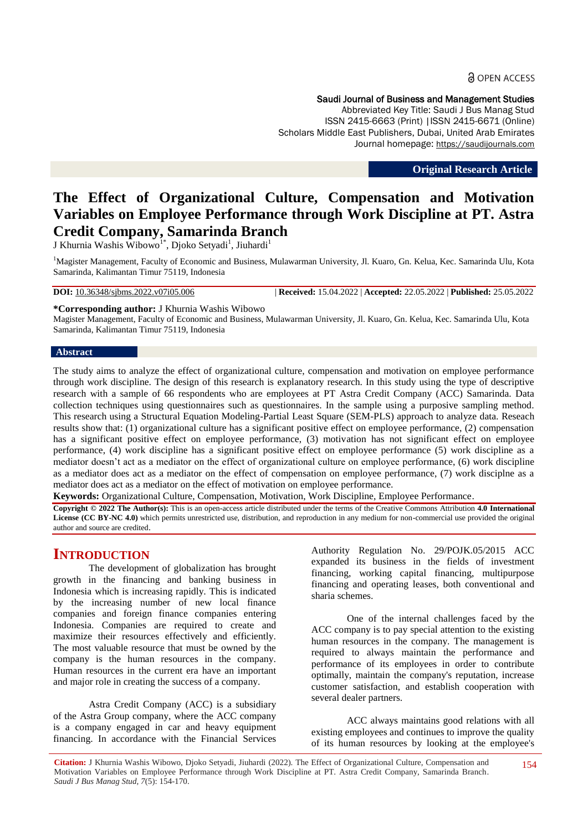#### Saudi Journal of Business and Management Studies

Abbreviated Key Title: Saudi J Bus Manag Stud ISSN 2415-6663 (Print) |ISSN 2415-6671 (Online) Scholars Middle East Publishers, Dubai, United Arab Emirates Journal homepage: https://saudijournals.com

**Original Research Article**

# **The Effect of Organizational Culture, Compensation and Motivation Variables on Employee Performance through Work Discipline at PT. Astra Credit Company, Samarinda Branch**

J Khurnia Washis Wibowo<sup>1\*</sup>, Djoko Setyadi<sup>1</sup>, Jiuhardi<sup>1</sup>

<sup>1</sup>Magister Management, Faculty of Economic and Business, Mulawarman University, Jl. Kuaro, Gn. Kelua, Kec. Samarinda Ulu, Kota Samarinda, Kalimantan Timur 75119, Indonesia

**DOI:** 10.36348/sjbms.2022.v07i05.006 | **Received:** 15.04.2022 | **Accepted:** 22.05.2022 | **Published:** 25.05.2022

**\*Corresponding author:** J Khurnia Washis Wibowo

Magister Management, Faculty of Economic and Business, Mulawarman University, Jl. Kuaro, Gn. Kelua, Kec. Samarinda Ulu, Kota Samarinda, Kalimantan Timur 75119, Indonesia

#### **Abstract**

The study aims to analyze the effect of organizational culture, compensation and motivation on employee performance through work discipline. The design of this research is explanatory research. In this study using the type of descriptive research with a sample of 66 respondents who are employees at PT Astra Credit Company (ACC) Samarinda. Data collection techniques using questionnaires such as questionnaires. In the sample using a purposive sampling method. This research using a Structural Equation Modeling-Partial Least Square (SEM-PLS) approach to analyze data. Reseach results show that: (1) organizational culture has a significant positive effect on employee performance, (2) compensation has a significant positive effect on employee performance, (3) motivation has not significant effect on employee performance, (4) work discipline has a significant positive effect on employee performance (5) work discipline as a mediator doesn't act as a mediator on the effect of organizational culture on employee performance, (6) work discipline as a mediator does act as a mediator on the effect of compensation on employee performance, (7) work disciplne as a mediator does act as a mediator on the effect of motivation on employee performance.

**Keywords:** Organizational Culture, Compensation, Motivation, Work Discipline, Employee Performance.

**Copyright © 2022 The Author(s):** This is an open-access article distributed under the terms of the Creative Commons Attribution **4.0 International License (CC BY-NC 4.0)** which permits unrestricted use, distribution, and reproduction in any medium for non-commercial use provided the original author and source are credited.

# **INTRODUCTION**

The development of globalization has brought growth in the financing and banking business in Indonesia which is increasing rapidly. This is indicated by the increasing number of new local finance companies and foreign finance companies entering Indonesia. Companies are required to create and maximize their resources effectively and efficiently. The most valuable resource that must be owned by the company is the human resources in the company. Human resources in the current era have an important and major role in creating the success of a company.

Astra Credit Company (ACC) is a subsidiary of the Astra Group company, where the ACC company is a company engaged in car and heavy equipment financing. In accordance with the Financial Services Authority Regulation No. 29/POJK.05/2015 ACC expanded its business in the fields of investment financing, working capital financing, multipurpose financing and operating leases, both conventional and sharia schemes.

One of the internal challenges faced by the ACC company is to pay special attention to the existing human resources in the company. The management is required to always maintain the performance and performance of its employees in order to contribute optimally, maintain the company's reputation, increase customer satisfaction, and establish cooperation with several dealer partners.

ACC always maintains good relations with all existing employees and continues to improve the quality of its human resources by looking at the employee's

**Citation:** J Khurnia Washis Wibowo, Djoko Setyadi, Jiuhardi (2022). The Effect of Organizational Culture, Compensation and Motivation Variables on Employee Performance through Work Discipline at PT. Astra Credit Company, Samarinda Branch. *Saudi J Bus Manag Stud, 7*(5): 154-170. 154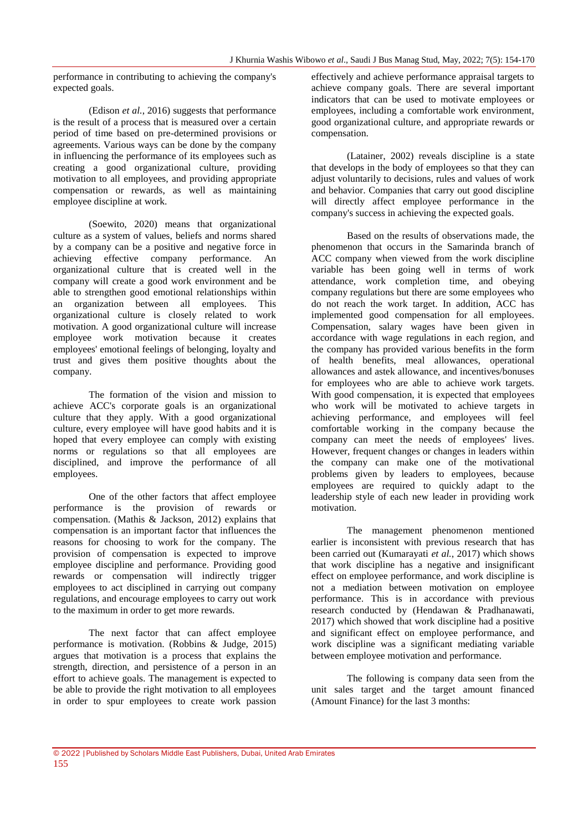performance in contributing to achieving the company's expected goals.

(Edison *et al.*, 2016) suggests that performance is the result of a process that is measured over a certain period of time based on pre-determined provisions or agreements. Various ways can be done by the company in influencing the performance of its employees such as creating a good organizational culture, providing motivation to all employees, and providing appropriate compensation or rewards, as well as maintaining employee discipline at work.

(Soewito, 2020) means that organizational culture as a system of values, beliefs and norms shared by a company can be a positive and negative force in achieving effective company performance. An organizational culture that is created well in the company will create a good work environment and be able to strengthen good emotional relationships within an organization between all employees. This organizational culture is closely related to work motivation. A good organizational culture will increase employee work motivation because it creates employees' emotional feelings of belonging, loyalty and trust and gives them positive thoughts about the company.

The formation of the vision and mission to achieve ACC's corporate goals is an organizational culture that they apply. With a good organizational culture, every employee will have good habits and it is hoped that every employee can comply with existing norms or regulations so that all employees are disciplined, and improve the performance of all employees.

One of the other factors that affect employee performance is the provision of rewards or compensation. (Mathis & Jackson, 2012) explains that compensation is an important factor that influences the reasons for choosing to work for the company. The provision of compensation is expected to improve employee discipline and performance. Providing good rewards or compensation will indirectly trigger employees to act disciplined in carrying out company regulations, and encourage employees to carry out work to the maximum in order to get more rewards.

The next factor that can affect employee performance is motivation. (Robbins & Judge, 2015) argues that motivation is a process that explains the strength, direction, and persistence of a person in an effort to achieve goals. The management is expected to be able to provide the right motivation to all employees in order to spur employees to create work passion

effectively and achieve performance appraisal targets to achieve company goals. There are several important indicators that can be used to motivate employees or employees, including a comfortable work environment, good organizational culture, and appropriate rewards or compensation.

(Latainer, 2002) reveals discipline is a state that develops in the body of employees so that they can adjust voluntarily to decisions, rules and values of work and behavior. Companies that carry out good discipline will directly affect employee performance in the company's success in achieving the expected goals.

Based on the results of observations made, the phenomenon that occurs in the Samarinda branch of ACC company when viewed from the work discipline variable has been going well in terms of work attendance, work completion time, and obeying company regulations but there are some employees who do not reach the work target. In addition, ACC has implemented good compensation for all employees. Compensation, salary wages have been given in accordance with wage regulations in each region, and the company has provided various benefits in the form of health benefits, meal allowances, operational allowances and astek allowance, and incentives/bonuses for employees who are able to achieve work targets. With good compensation, it is expected that employees who work will be motivated to achieve targets in achieving performance, and employees will feel comfortable working in the company because the company can meet the needs of employees' lives. However, frequent changes or changes in leaders within the company can make one of the motivational problems given by leaders to employees, because employees are required to quickly adapt to the leadership style of each new leader in providing work motivation.

The management phenomenon mentioned earlier is inconsistent with previous research that has been carried out (Kumarayati *et al.*, 2017) which shows that work discipline has a negative and insignificant effect on employee performance, and work discipline is not a mediation between motivation on employee performance. This is in accordance with previous research conducted by (Hendawan & Pradhanawati, 2017) which showed that work discipline had a positive and significant effect on employee performance, and work discipline was a significant mediating variable between employee motivation and performance.

The following is company data seen from the unit sales target and the target amount financed (Amount Finance) for the last 3 months: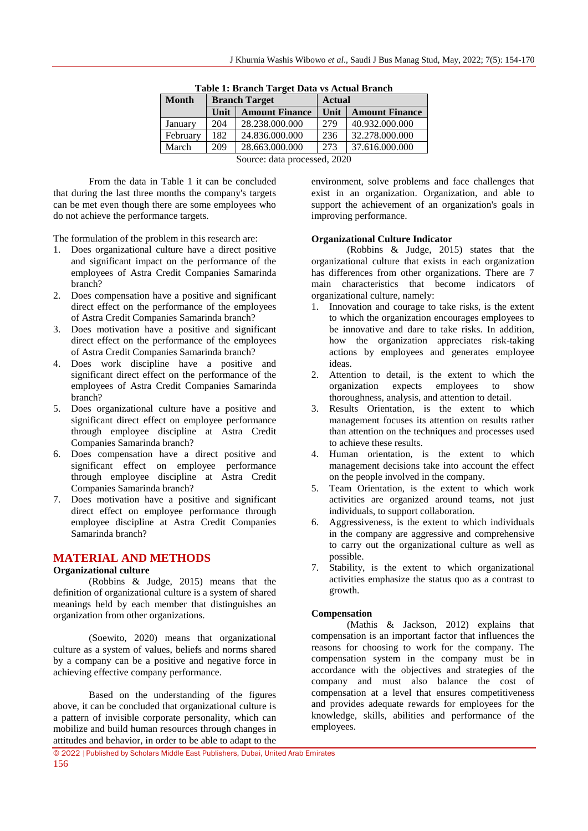| <b>Month</b>                 | <b>Branch Target</b> |                       | <b>Actual</b> |                       |  |
|------------------------------|----------------------|-----------------------|---------------|-----------------------|--|
|                              | Unit                 | <b>Amount Finance</b> | Unit          | <b>Amount Finance</b> |  |
| January                      | 204                  | 28.238.000.000        | 279           | 40.932.000.000        |  |
| February                     | 182                  | 24.836.000.000        | 236           | 32.278.000.000        |  |
| March                        | 209                  | 28.663.000.000        | 273           | 37.616.000.000        |  |
| Source: data processed, 2020 |                      |                       |               |                       |  |

**Table 1: Branch Target Data vs Actual Branch**

From the data in Table 1 it can be concluded that during the last three months the company's targets can be met even though there are some employees who do not achieve the performance targets.

The formulation of the problem in this research are:

- 1. Does organizational culture have a direct positive and significant impact on the performance of the employees of Astra Credit Companies Samarinda branch?
- 2. Does compensation have a positive and significant direct effect on the performance of the employees of Astra Credit Companies Samarinda branch?
- 3. Does motivation have a positive and significant direct effect on the performance of the employees of Astra Credit Companies Samarinda branch?
- 4. Does work discipline have a positive and significant direct effect on the performance of the employees of Astra Credit Companies Samarinda branch?
- 5. Does organizational culture have a positive and significant direct effect on employee performance through employee discipline at Astra Credit Companies Samarinda branch?
- 6. Does compensation have a direct positive and significant effect on employee performance through employee discipline at Astra Credit Companies Samarinda branch?
- 7. Does motivation have a positive and significant direct effect on employee performance through employee discipline at Astra Credit Companies Samarinda branch?

# **MATERIAL AND METHODS**

#### **Organizational culture**

(Robbins & Judge, 2015) means that the definition of organizational culture is a system of shared meanings held by each member that distinguishes an organization from other organizations.

(Soewito, 2020) means that organizational culture as a system of values, beliefs and norms shared by a company can be a positive and negative force in achieving effective company performance.

Based on the understanding of the figures above, it can be concluded that organizational culture is a pattern of invisible corporate personality, which can mobilize and build human resources through changes in attitudes and behavior, in order to be able to adapt to the environment, solve problems and face challenges that exist in an organization. Organization, and able to support the achievement of an organization's goals in improving performance.

#### **Organizational Culture Indicator**

(Robbins & Judge, 2015) states that the organizational culture that exists in each organization has differences from other organizations. There are 7 main characteristics that become indicators of organizational culture, namely:

- 1. Innovation and courage to take risks, is the extent to which the organization encourages employees to be innovative and dare to take risks. In addition, how the organization appreciates risk-taking actions by employees and generates employee ideas.
- 2. Attention to detail, is the extent to which the organization expects employees to show thoroughness, analysis, and attention to detail.
- 3. Results Orientation, is the extent to which management focuses its attention on results rather than attention on the techniques and processes used to achieve these results.
- 4. Human orientation, is the extent to which management decisions take into account the effect on the people involved in the company.
- 5. Team Orientation, is the extent to which work activities are organized around teams, not just individuals, to support collaboration.
- 6. Aggressiveness, is the extent to which individuals in the company are aggressive and comprehensive to carry out the organizational culture as well as possible.
- 7. Stability, is the extent to which organizational activities emphasize the status quo as a contrast to growth.

# **Compensation**

(Mathis & Jackson, 2012) explains that compensation is an important factor that influences the reasons for choosing to work for the company. The compensation system in the company must be in accordance with the objectives and strategies of the company and must also balance the cost of compensation at a level that ensures competitiveness and provides adequate rewards for employees for the knowledge, skills, abilities and performance of the employees.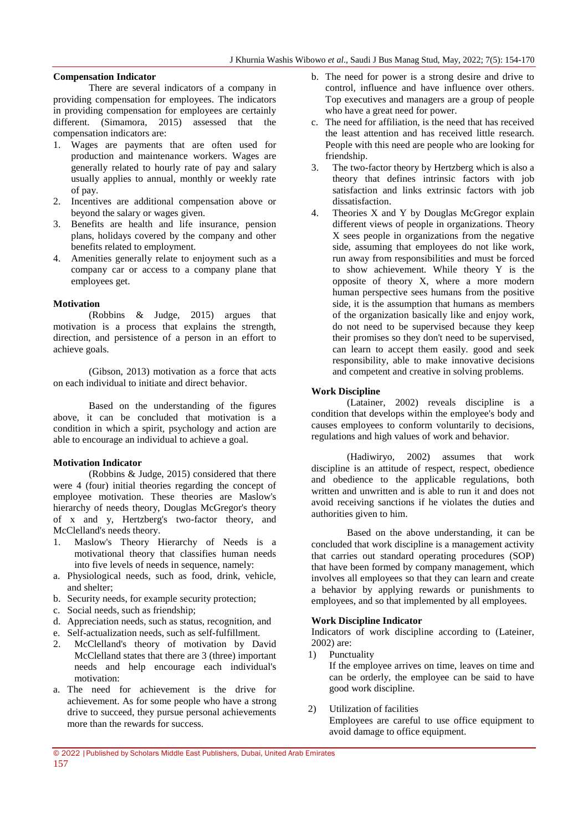#### **Compensation Indicator**

There are several indicators of a company in providing compensation for employees. The indicators in providing compensation for employees are certainly different. (Simamora, 2015) assessed that the compensation indicators are:

- 1. Wages are payments that are often used for production and maintenance workers. Wages are generally related to hourly rate of pay and salary usually applies to annual, monthly or weekly rate of pay.
- 2. Incentives are additional compensation above or beyond the salary or wages given.
- 3. Benefits are health and life insurance, pension plans, holidays covered by the company and other benefits related to employment.
- 4. Amenities generally relate to enjoyment such as a company car or access to a company plane that employees get.

#### **Motivation**

(Robbins & Judge, 2015) argues that motivation is a process that explains the strength, direction, and persistence of a person in an effort to achieve goals.

(Gibson, 2013) motivation as a force that acts on each individual to initiate and direct behavior.

Based on the understanding of the figures above, it can be concluded that motivation is a condition in which a spirit, psychology and action are able to encourage an individual to achieve a goal.

#### **Motivation Indicator**

(Robbins & Judge, 2015) considered that there were 4 (four) initial theories regarding the concept of employee motivation. These theories are Maslow's hierarchy of needs theory, Douglas McGregor's theory of x and y, Hertzberg's two-factor theory, and McClelland's needs theory.

- 1. Maslow's Theory Hierarchy of Needs is a motivational theory that classifies human needs into five levels of needs in sequence, namely:
- a. Physiological needs, such as food, drink, vehicle, and shelter;
- b. Security needs, for example security protection;
- c. Social needs, such as friendship;
- d. Appreciation needs, such as status, recognition, and
- e. Self-actualization needs, such as self-fulfillment.
- 2. McClelland's theory of motivation by David McClelland states that there are 3 (three) important needs and help encourage each individual's motivation:
- a. The need for achievement is the drive for achievement. As for some people who have a strong drive to succeed, they pursue personal achievements more than the rewards for success.
- b. The need for power is a strong desire and drive to control, influence and have influence over others. Top executives and managers are a group of people who have a great need for power.
- c. The need for affiliation, is the need that has received the least attention and has received little research. People with this need are people who are looking for friendship.
- 3. The two-factor theory by Hertzberg which is also a theory that defines intrinsic factors with job satisfaction and links extrinsic factors with job dissatisfaction.
- 4. Theories X and Y by Douglas McGregor explain different views of people in organizations. Theory X sees people in organizations from the negative side, assuming that employees do not like work, run away from responsibilities and must be forced to show achievement. While theory Y is the opposite of theory X, where a more modern human perspective sees humans from the positive side, it is the assumption that humans as members of the organization basically like and enjoy work, do not need to be supervised because they keep their promises so they don't need to be supervised, can learn to accept them easily. good and seek responsibility, able to make innovative decisions and competent and creative in solving problems.

#### **Work Discipline**

(Latainer, 2002) reveals discipline is a condition that develops within the employee's body and causes employees to conform voluntarily to decisions, regulations and high values of work and behavior.

(Hadiwiryo, 2002) assumes that work discipline is an attitude of respect, respect, obedience and obedience to the applicable regulations, both written and unwritten and is able to run it and does not avoid receiving sanctions if he violates the duties and authorities given to him.

Based on the above understanding, it can be concluded that work discipline is a management activity that carries out standard operating procedures (SOP) that have been formed by company management, which involves all employees so that they can learn and create a behavior by applying rewards or punishments to employees, and so that implemented by all employees.

#### **Work Discipline Indicator**

Indicators of work discipline according to (Lateiner, 2002) are:

- 1) Punctuality If the employee arrives on time, leaves on time and can be orderly, the employee can be said to have good work discipline.
- 2) Utilization of facilities

Employees are careful to use office equipment to avoid damage to office equipment.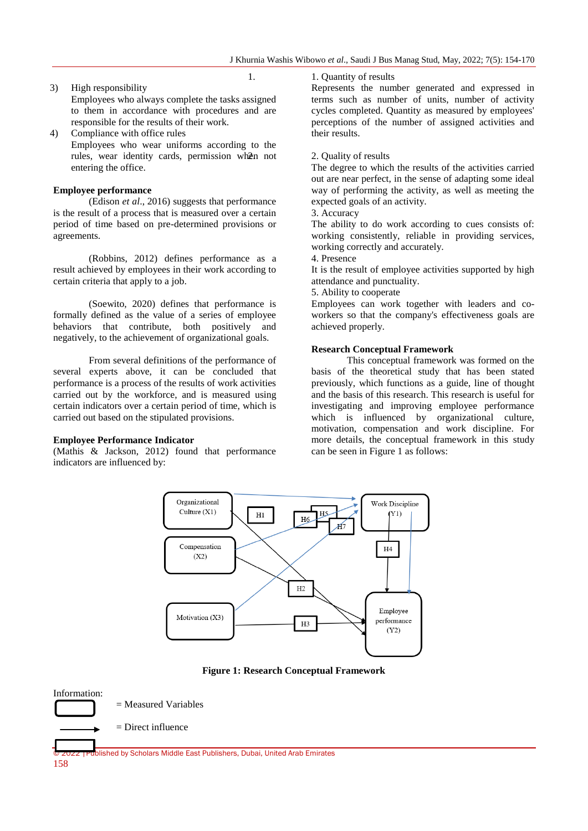## 3) High responsibility Employees who always complete the tasks assigned to them in accordance with procedures and are responsible for the results of their work.

4) Compliance with office rules Employees who wear uniforms according to the rules, wear identity cards, permission when not entering the office.

#### **Employee performance**

(Edison *et al*., 2016) suggests that performance is the result of a process that is measured over a certain period of time based on pre-determined provisions or agreements.

(Robbins, 2012) defines performance as a result achieved by employees in their work according to certain criteria that apply to a job.

(Soewito, 2020) defines that performance is formally defined as the value of a series of employee behaviors that contribute, both positively and negatively, to the achievement of organizational goals.

From several definitions of the performance of several experts above, it can be concluded that performance is a process of the results of work activities carried out by the workforce, and is measured using certain indicators over a certain period of time, which is carried out based on the stipulated provisions.

#### **Employee Performance Indicator**

(Mathis & Jackson, 2012) found that performance indicators are influenced by:

1. 2. 1. Quantity of results

Represents the number generated and expressed in terms such as number of units, number of activity cycles completed. Quantity as measured by employees' perceptions of the number of assigned activities and their results.

#### 2. 2. Quality of results

The degree to which the results of the activities carried out are near perfect, in the sense of adapting some ideal way of performing the activity, as well as meeting the expected goals of an activity.

#### 3. Accuracy

The ability to do work according to cues consists of: working consistently, reliable in providing services, working correctly and accurately.

4. Presence

It is the result of employee activities supported by high attendance and punctuality.

5. Ability to cooperate

Employees can work together with leaders and coworkers so that the company's effectiveness goals are achieved properly.

#### **Research Conceptual Framework**

This conceptual framework was formed on the basis of the theoretical study that has been stated previously, which functions as a guide, line of thought and the basis of this research. This research is useful for investigating and improving employee performance which is influenced by organizational culture, motivation, compensation and work discipline. For more details, the conceptual framework in this study can be seen in Figure 1 as follows:



**Figure 1: Research Conceptual Framework**

# Information: = Measured Variables  $=$  Direct influence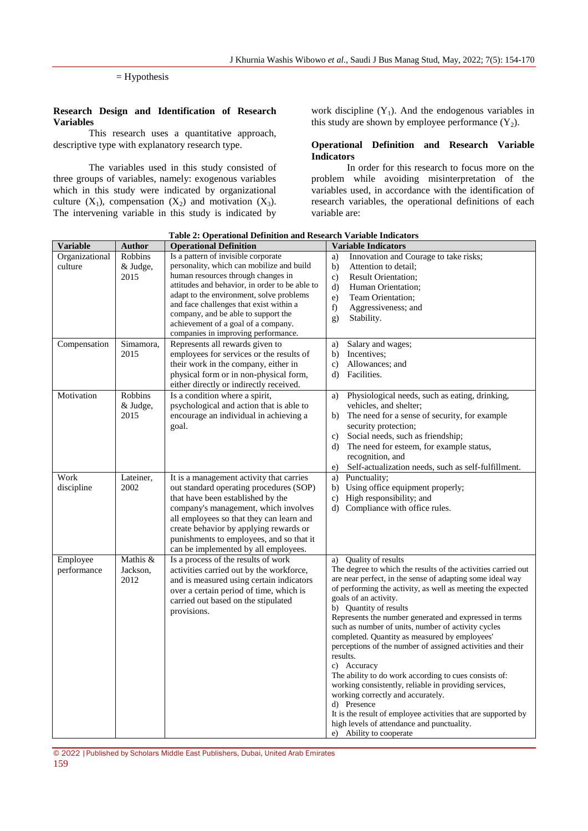#### = Hypothesis

#### **Research Design and Identification of Research Variables**

This research uses a quantitative approach, descriptive type with explanatory research type.

The variables used in this study consisted of three groups of variables, namely: exogenous variables which in this study were indicated by organizational culture  $(X_1)$ , compensation  $(X_2)$  and motivation  $(X_3)$ . The intervening variable in this study is indicated by work discipline  $(Y_1)$ . And the endogenous variables in this study are shown by employee performance  $(Y_2)$ .

#### **Operational Definition and Research Variable Indicators**

In order for this research to focus more on the problem while avoiding misinterpretation of the variables used, in accordance with the identification of research variables, the operational definitions of each variable are:

| <b>Variable</b>           | <b>Author</b>                | <b>Operational Definition</b>                                                                                                                                                                                                                                                                                                                                                        | <b>Variable Indicators</b>                                                                                                                                                                                                                                                                                                                                                                                                                                                                                                                                                                                                                                                                                                                                                                                                                         |
|---------------------------|------------------------------|--------------------------------------------------------------------------------------------------------------------------------------------------------------------------------------------------------------------------------------------------------------------------------------------------------------------------------------------------------------------------------------|----------------------------------------------------------------------------------------------------------------------------------------------------------------------------------------------------------------------------------------------------------------------------------------------------------------------------------------------------------------------------------------------------------------------------------------------------------------------------------------------------------------------------------------------------------------------------------------------------------------------------------------------------------------------------------------------------------------------------------------------------------------------------------------------------------------------------------------------------|
| Organizational<br>culture | Robbins<br>& Judge,<br>2015  | Is a pattern of invisible corporate<br>personality, which can mobilize and build<br>human resources through changes in<br>attitudes and behavior, in order to be able to<br>adapt to the environment, solve problems<br>and face challenges that exist within a<br>company, and be able to support the<br>achievement of a goal of a company.<br>companies in improving performance. | Innovation and Courage to take risks;<br>a)<br>b)<br>Attention to detail;<br>$\mathbf{c}$ )<br><b>Result Orientation:</b><br>$\rm d$<br>Human Orientation;<br>e)<br>Team Orientation;<br>f)<br>Aggressiveness; and<br>Stability.<br>g)                                                                                                                                                                                                                                                                                                                                                                                                                                                                                                                                                                                                             |
| Compensation              | Simamora,<br>2015            | Represents all rewards given to<br>employees for services or the results of<br>their work in the company, either in<br>physical form or in non-physical form,<br>either directly or indirectly received.                                                                                                                                                                             | Salary and wages;<br>a)<br>Incentives:<br>b)<br>Allowances; and<br>$\mathbf{c}$ )<br>Facilities.<br>d)                                                                                                                                                                                                                                                                                                                                                                                                                                                                                                                                                                                                                                                                                                                                             |
| Motivation                | Robbins<br>& Judge,<br>2015  | Is a condition where a spirit,<br>psychological and action that is able to<br>encourage an individual in achieving a<br>goal.                                                                                                                                                                                                                                                        | Physiological needs, such as eating, drinking,<br>a)<br>vehicles, and shelter;<br>The need for a sense of security, for example<br>b)<br>security protection;<br>Social needs, such as friendship;<br>c)<br>The need for esteem, for example status,<br>d)<br>recognition, and<br>Self-actualization needs, such as self-fulfillment.<br>e)                                                                                                                                                                                                                                                                                                                                                                                                                                                                                                        |
| Work<br>discipline        | Lateiner,<br>2002            | It is a management activity that carries<br>out standard operating procedures (SOP)<br>that have been established by the<br>company's management, which involves<br>all employees so that they can learn and<br>create behavior by applying rewards or<br>punishments to employees, and so that it<br>can be implemented by all employees.                                           | Punctuality;<br>a)<br>b) Using office equipment properly;<br>High responsibility; and<br>$\mathbf{c}$ )<br>d) Compliance with office rules.                                                                                                                                                                                                                                                                                                                                                                                                                                                                                                                                                                                                                                                                                                        |
| Employee<br>performance   | Mathis &<br>Jackson,<br>2012 | Is a process of the results of work<br>activities carried out by the workforce,<br>and is measured using certain indicators<br>over a certain period of time, which is<br>carried out based on the stipulated<br>provisions.                                                                                                                                                         | Quality of results<br>a)<br>The degree to which the results of the activities carried out<br>are near perfect, in the sense of adapting some ideal way<br>of performing the activity, as well as meeting the expected<br>goals of an activity.<br>b) Quantity of results<br>Represents the number generated and expressed in terms<br>such as number of units, number of activity cycles<br>completed. Quantity as measured by employees'<br>perceptions of the number of assigned activities and their<br>results.<br>c) Accuracy<br>The ability to do work according to cues consists of:<br>working consistently, reliable in providing services,<br>working correctly and accurately.<br>d) Presence<br>It is the result of employee activities that are supported by<br>high levels of attendance and punctuality.<br>e) Ability to cooperate |

#### **Table 2: Operational Definition and Research Variable Indicators**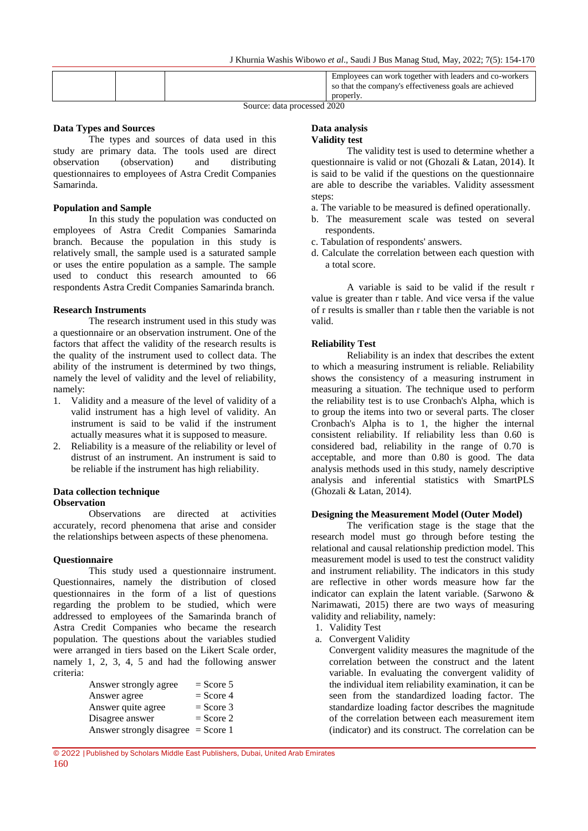|--|

Source: data processed 2020

#### **Data Types and Sources**

The types and sources of data used in this study are primary data. The tools used are direct observation (observation) and distributing questionnaires to employees of Astra Credit Companies Samarinda.

#### **Population and Sample**

In this study the population was conducted on employees of Astra Credit Companies Samarinda branch. Because the population in this study is relatively small, the sample used is a saturated sample or uses the entire population as a sample. The sample used to conduct this research amounted to 66 respondents Astra Credit Companies Samarinda branch.

#### **Research Instruments**

The research instrument used in this study was a questionnaire or an observation instrument. One of the factors that affect the validity of the research results is the quality of the instrument used to collect data. The ability of the instrument is determined by two things, namely the level of validity and the level of reliability, namely:

- 1. Validity and a measure of the level of validity of a valid instrument has a high level of validity. An instrument is said to be valid if the instrument actually measures what it is supposed to measure.
- 2. Reliability is a measure of the reliability or level of distrust of an instrument. An instrument is said to be reliable if the instrument has high reliability.

#### **Data collection technique Observation**

Observations are directed at activities accurately, record phenomena that arise and consider the relationships between aspects of these phenomena.

#### **Questionnaire**

This study used a questionnaire instrument. Questionnaires, namely the distribution of closed questionnaires in the form of a list of questions regarding the problem to be studied, which were addressed to employees of the Samarinda branch of Astra Credit Companies who became the research population. The questions about the variables studied were arranged in tiers based on the Likert Scale order, namely 1, 2, 3, 4, 5 and had the following answer criteria:

| Answer strongly agree                | $=$ Score 5 |
|--------------------------------------|-------------|
| Answer agree                         | $=$ Score 4 |
| Answer quite agree                   | $=$ Score 3 |
| Disagree answer                      | $=$ Score 2 |
| Answer strongly disagree $=$ Score 1 |             |

#### **Data analysis Validity test**

The validity test is used to determine whether a questionnaire is valid or not (Ghozali & Latan, 2014). It is said to be valid if the questions on the questionnaire are able to describe the variables. Validity assessment steps:

- a. The variable to be measured is defined operationally.
- b. The measurement scale was tested on several respondents.
- c. Tabulation of respondents' answers.
- d. Calculate the correlation between each question with a total score.

A variable is said to be valid if the result r value is greater than r table. And vice versa if the value of r results is smaller than r table then the variable is not valid.

#### **Reliability Test**

Reliability is an index that describes the extent to which a measuring instrument is reliable. Reliability shows the consistency of a measuring instrument in measuring a situation. The technique used to perform the reliability test is to use Cronbach's Alpha, which is to group the items into two or several parts. The closer Cronbach's Alpha is to 1, the higher the internal consistent reliability. If reliability less than 0.60 is considered bad, reliability in the range of 0.70 is acceptable, and more than 0.80 is good. The data analysis methods used in this study, namely descriptive analysis and inferential statistics with SmartPLS (Ghozali & Latan, 2014).

#### **Designing the Measurement Model (Outer Model)**

The verification stage is the stage that the research model must go through before testing the relational and causal relationship prediction model. This measurement model is used to test the construct validity and instrument reliability. The indicators in this study are reflective in other words measure how far the indicator can explain the latent variable. (Sarwono & Narimawati, 2015) there are two ways of measuring validity and reliability, namely:

- 1. Validity Test
- a. Convergent Validity

Convergent validity measures the magnitude of the correlation between the construct and the latent variable. In evaluating the convergent validity of the individual item reliability examination, it can be seen from the standardized loading factor. The standardize loading factor describes the magnitude of the correlation between each measurement item (indicator) and its construct. The correlation can be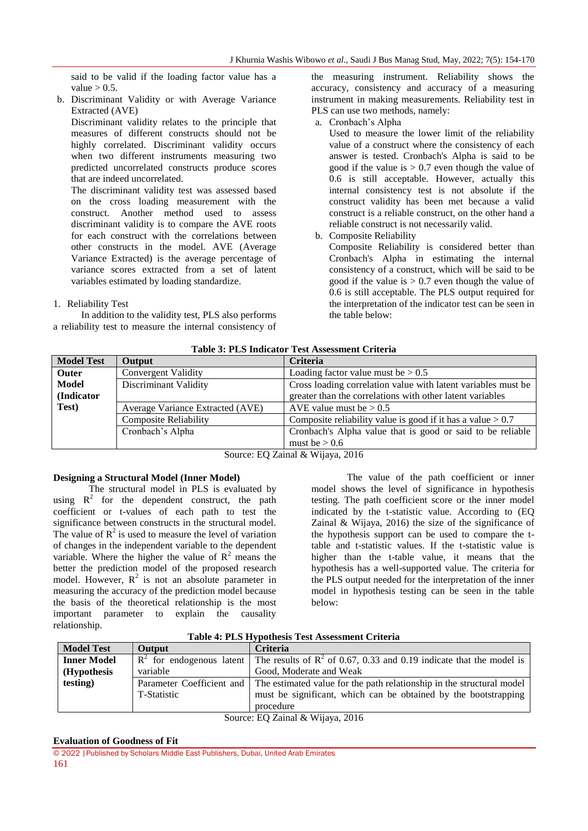said to be valid if the loading factor value has a value  $> 0.5$ .

b. Discriminant Validity or with Average Variance Extracted (AVE)

Discriminant validity relates to the principle that measures of different constructs should not be highly correlated. Discriminant validity occurs when two different instruments measuring two predicted uncorrelated constructs produce scores that are indeed uncorrelated.

The discriminant validity test was assessed based on the cross loading measurement with the construct. Another method used to assess discriminant validity is to compare the AVE roots for each construct with the correlations between other constructs in the model. AVE (Average Variance Extracted) is the average percentage of variance scores extracted from a set of latent variables estimated by loading standardize.

1. Reliability Test

In addition to the validity test, PLS also performs a reliability test to measure the internal consistency of the measuring instrument. Reliability shows the accuracy, consistency and accuracy of a measuring instrument in making measurements. Reliability test in PLS can use two methods, namely:

a. Cronbach's Alpha

Used to measure the lower limit of the reliability value of a construct where the consistency of each answer is tested. Cronbach's Alpha is said to be good if the value is  $> 0.7$  even though the value of 0.6 is still acceptable. However, actually this internal consistency test is not absolute if the construct validity has been met because a valid construct is a reliable construct, on the other hand a reliable construct is not necessarily valid.

b. Composite Reliability

Composite Reliability is considered better than Cronbach's Alpha in estimating the internal consistency of a construct, which will be said to be good if the value is  $> 0.7$  even though the value of 0.6 is still acceptable. The PLS output required for the interpretation of the indicator test can be seen in the table below:

|                   |                                                                                               | таміс от т шо тимісатог тем тімосминент отпетіа               |  |
|-------------------|-----------------------------------------------------------------------------------------------|---------------------------------------------------------------|--|
| <b>Model Test</b> | <b>Output</b>                                                                                 | <b>Criteria</b>                                               |  |
| <b>Outer</b>      | <b>Convergent Validity</b>                                                                    | Loading factor value must be $> 0.5$                          |  |
| Model             | Discriminant Validity                                                                         | Cross loading correlation value with latent variables must be |  |
| (Indicator)       |                                                                                               | greater than the correlations with other latent variables     |  |
| Test)             | Average Variance Extracted (AVE)                                                              | AVE value must be $> 0.5$                                     |  |
|                   | <b>Composite Reliability</b><br>Composite reliability value is good if it has a value $> 0.7$ |                                                               |  |
|                   | Cronbach's Alpha                                                                              | Cronbach's Alpha value that is good or said to be reliable    |  |
|                   |                                                                                               | must be $> 0.6$                                               |  |

|  | <b>Table 3: PLS Indicator Test Assessment Criteria</b> |
|--|--------------------------------------------------------|
|--|--------------------------------------------------------|

Source: EQ Zainal & Wijaya, 2016

# **Designing a Structural Model (Inner Model)**

The structural model in PLS is evaluated by using  $R^2$  for the dependent construct, the path coefficient or t-values of each path to test the significance between constructs in the structural model. The value of  $R^2$  is used to measure the level of variation of changes in the independent variable to the dependent variable. Where the higher the value of  $R^2$  means the better the prediction model of the proposed research model. However,  $R^2$  is not an absolute parameter in measuring the accuracy of the prediction model because the basis of the theoretical relationship is the most important parameter to explain the causality relationship.

The value of the path coefficient or inner model shows the level of significance in hypothesis testing. The path coefficient score or the inner model indicated by the t-statistic value. According to (EQ Zainal & Wijaya, 2016) the size of the significance of the hypothesis support can be used to compare the ttable and t-statistic values. If the t-statistic value is higher than the t-table value, it means that the hypothesis has a well-supported value. The criteria for the PLS output needed for the interpretation of the inner model in hypothesis testing can be seen in the table below:

| Table 4: PLS Hypothesis Test Assessment Criteria |  |  |  |  |
|--------------------------------------------------|--|--|--|--|
|--------------------------------------------------|--|--|--|--|

| <b>Model Test</b>  | <b>Output</b> | <b>Criteria</b>                                                                                    |
|--------------------|---------------|----------------------------------------------------------------------------------------------------|
| <b>Inner Model</b> |               | $R^2$ for endogenous latent The results of $R^2$ of 0.67, 0.33 and 0.19 indicate that the model is |
| (Hypothesis)       | variable      | Good, Moderate and Weak                                                                            |
| testing)           |               | Parameter Coefficient and The estimated value for the path relationship in the structural model    |
|                    | T-Statistic   | must be significant, which can be obtained by the bootstrapping                                    |
|                    |               | procedure                                                                                          |

Source: EQ Zainal & Wijaya, 2016

#### **Evaluation of Goodness of Fit**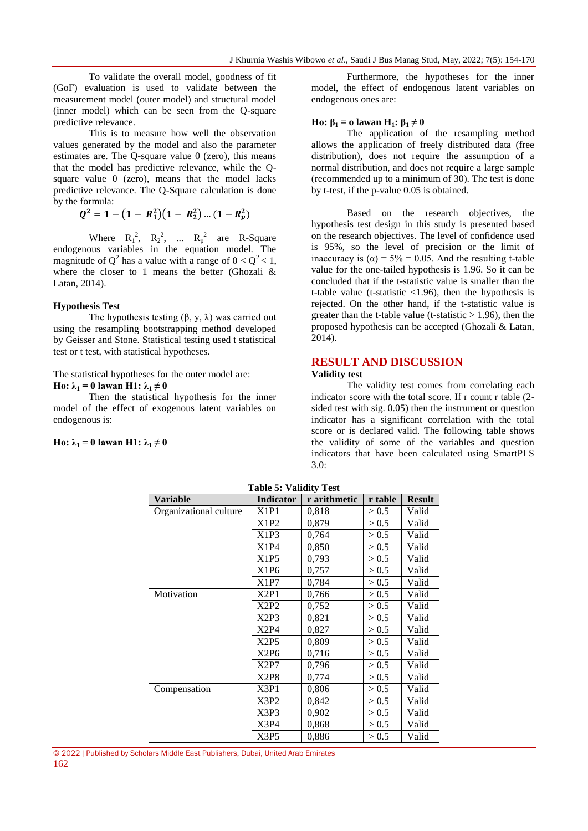To validate the overall model, goodness of fit (GoF) evaluation is used to validate between the measurement model (outer model) and structural model (inner model) which can be seen from the Q-square predictive relevance.

This is to measure how well the observation values generated by the model and also the parameter estimates are. The Q-square value 0 (zero), this means that the model has predictive relevance, while the Qsquare value 0 (zero), means that the model lacks predictive relevance. The Q-Square calculation is done by the formula:

$$
Q^2 = 1 - (1 - R_1^2)(1 - R_2^2) \dots (1 - R_p^2)
$$

Where  $R_1^2$ ,  $R_2^2$ , ...  $R_p^2$  are R-Square endogenous variables in the equation model. The magnitude of  $Q^2$  has a value with a range of  $0 < Q^2 < 1$ , where the closer to 1 means the better (Ghozali  $\&$ Latan, 2014).

#### **Hypothesis Test**

The hypothesis testing  $(\beta, y, \lambda)$  was carried out using the resampling bootstrapping method developed by Geisser and Stone. Statistical testing used t statistical test or t test, with statistical hypotheses.

The statistical hypotheses for the outer model are:

**Ho:**  $\lambda_1 = 0$  lawan **H1:**  $\lambda_1 \neq 0$ 

Then the statistical hypothesis for the inner model of the effect of exogenous latent variables on endogenous is:

**Ho:**  $\lambda_1 = 0$  lawan **H1:**  $\lambda_1 \neq 0$ 

Furthermore, the hypotheses for the inner model, the effect of endogenous latent variables on endogenous ones are:

#### **Ho:**  $β_1 = 0$  lawan  $H_1$ **:**  $β_1 \neq 0$

The application of the resampling method allows the application of freely distributed data (free distribution), does not require the assumption of a normal distribution, and does not require a large sample (recommended up to a minimum of 30). The test is done by t-test, if the p-value 0.05 is obtained.

Based on the research objectives, the hypothesis test design in this study is presented based on the research objectives. The level of confidence used is 95%, so the level of precision or the limit of inaccuracy is  $\alpha$  = 5% = 0.05. And the resulting t-table value for the one-tailed hypothesis is 1.96. So it can be concluded that if the t-statistic value is smaller than the t-table value (t-statistic  $<$ 1.96), then the hypothesis is rejected. On the other hand, if the t-statistic value is greater than the t-table value (t-statistic  $> 1.96$ ), then the proposed hypothesis can be accepted (Ghozali & Latan, 2014).

# **RESULT AND DISCUSSION**

# **Validity test**

The validity test comes from correlating each indicator score with the total score. If r count r table (2 sided test with sig. 0.05) then the instrument or question indicator has a significant correlation with the total score or is declared valid. The following table shows the validity of some of the variables and question indicators that have been calculated using SmartPLS 3.0:

| <b>Variable</b>        | Indicator | r arithmetic | r table | <b>Result</b> |
|------------------------|-----------|--------------|---------|---------------|
| Organizational culture | X1P1      | 0.818        | > 0.5   | Valid         |
|                        | X1P2      | 0,879        | > 0.5   | Valid         |
|                        | X1P3      | 0,764        | > 0.5   | Valid         |
|                        | X1P4      | 0,850        | > 0.5   | Valid         |
|                        | X1P5      | 0,793        | > 0.5   | Valid         |
|                        | X1P6      | 0,757        | > 0.5   | Valid         |
|                        | X1P7      | 0,784        | > 0.5   | Valid         |
| Motivation             | X2P1      | 0,766        | > 0.5   | Valid         |
|                        | X2P2      | 0,752        | > 0.5   | Valid         |
|                        | X2P3      | 0,821        | > 0.5   | Valid         |
|                        | X2P4      | 0,827        | > 0.5   | Valid         |
|                        | X2P5      | 0,809        | > 0.5   | Valid         |
|                        | X2P6      | 0,716        | > 0.5   | Valid         |
|                        | X2P7      | 0,796        | > 0.5   | Valid         |
|                        | X2P8      | 0,774        | > 0.5   | Valid         |
| Compensation           | X3P1      | 0,806        | > 0.5   | Valid         |
|                        | X3P2      | 0,842        | > 0.5   | Valid         |
|                        | X3P3      | 0,902        | > 0.5   | Valid         |
|                        | X3P4      | 0,868        | > 0.5   | Valid         |
|                        | X3P5      | 0,886        | > 0.5   | Valid         |

**Table 5: Validity Test**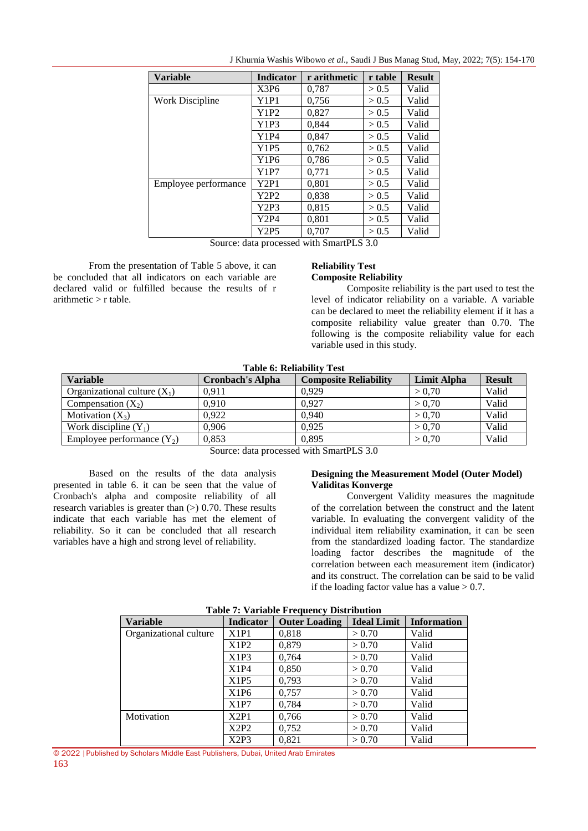| <b>Variable</b>      | <b>Indicator</b> | r arithmetic | r table | <b>Result</b> |
|----------------------|------------------|--------------|---------|---------------|
|                      | X3P6             | 0,787        | > 0.5   | Valid         |
| Work Discipline      | Y1P1             | 0,756        | > 0.5   | Valid         |
|                      | Y1P2             | 0,827        | > 0.5   | Valid         |
|                      | Y1P3             | 0,844        | > 0.5   | Valid         |
|                      | Y1P4             | 0,847        | > 0.5   | Valid         |
|                      | Y1P5             | 0,762        | > 0.5   | Valid         |
|                      | Y1P6             | 0,786        | > 0.5   | Valid         |
|                      | Y1P7             | 0,771        | > 0.5   | Valid         |
| Employee performance | Y2P1             | 0,801        | > 0.5   | Valid         |
|                      | Y2P2             | 0,838        | > 0.5   | Valid         |
|                      | Y2P3             | 0.815        | > 0.5   | Valid         |
|                      | Y2P4             | 0.801        | > 0.5   | Valid         |
|                      | Y2P5             | 0.707        | > 0.5   | Valid         |

J Khurnia Washis Wibowo *et al*., Saudi J Bus Manag Stud, May, 2022; 7(5): 154-170

Source: data processed with SmartPLS 3.0

From the presentation of Table 5 above, it can be concluded that all indicators on each variable are declared valid or fulfilled because the results of r  $arithmetic > r$  table.

#### **Reliability Test Composite Reliability**

Composite reliability is the part used to test the level of indicator reliability on a variable. A variable can be declared to meet the reliability element if it has a composite reliability value greater than 0.70. The following is the composite reliability value for each variable used in this study.

| Table 0; Rehability Test<br><b>Variable</b><br><b>Result</b><br><b>Composite Reliability</b><br>Limit Alpha<br><b>Cronbach's Alpha</b> |       |       |        |       |  |  |
|----------------------------------------------------------------------------------------------------------------------------------------|-------|-------|--------|-------|--|--|
| Organizational culture $(X_1)$                                                                                                         | 0.911 | 0.929 | > 0.70 | Valid |  |  |
| Compensation $(X_2)$                                                                                                                   | 0.910 | 0.927 | > 0.70 | Valid |  |  |
| Motivation $(X_3)$                                                                                                                     | 0.922 | 0.940 | > 0.70 | Valid |  |  |
| Work discipline $(Y_1)$                                                                                                                | 0.906 | 0.925 | > 0.70 | Valid |  |  |
| Employee performance $(Y_2)$                                                                                                           | 0,853 | 0.895 | > 0.70 | Valid |  |  |

**Table 6: Reliability Test**

Source: data processed with SmartPLS 3.0

Based on the results of the data analysis presented in table 6. it can be seen that the value of Cronbach's alpha and composite reliability of all research variables is greater than  $(>)$  0.70. These results indicate that each variable has met the element of reliability. So it can be concluded that all research variables have a high and strong level of reliability.

#### **Designing the Measurement Model (Outer Model) Validitas Konverge**

Convergent Validity measures the magnitude of the correlation between the construct and the latent variable. In evaluating the convergent validity of the individual item reliability examination, it can be seen from the standardized loading factor. The standardize loading factor describes the magnitude of the correlation between each measurement item (indicator) and its construct. The correlation can be said to be valid if the loading factor value has a value  $> 0.7$ .

| Table 7: Variable Frequency Distribution |                  |                      |                    |                    |  |
|------------------------------------------|------------------|----------------------|--------------------|--------------------|--|
| <b>Variable</b>                          | <b>Indicator</b> | <b>Outer Loading</b> | <b>Ideal Limit</b> | <b>Information</b> |  |
| Organizational culture                   | X1P1             | 0.818                | > 0.70             | Valid              |  |
|                                          | X1P2             | 0,879                | > 0.70             | Valid              |  |
|                                          | X1P3             | 0,764                | > 0.70             | Valid              |  |
|                                          | X1P4             | 0,850                | > 0.70             | Valid              |  |
|                                          | X1P5             | 0.793                | > 0.70             | Valid              |  |
|                                          | X1P6             | 0,757                | > 0.70             | Valid              |  |
|                                          | X1P7             | 0,784                | > 0.70             | Valid              |  |
| Motivation                               | X2P1             | 0,766                | > 0.70             | Valid              |  |
|                                          | X2P2             | 0,752                | > 0.70             | Valid              |  |
|                                          | X2P3             | 0.821                | > 0.70             | Valid              |  |

#### **Table 7: Variable Frequency Distribution**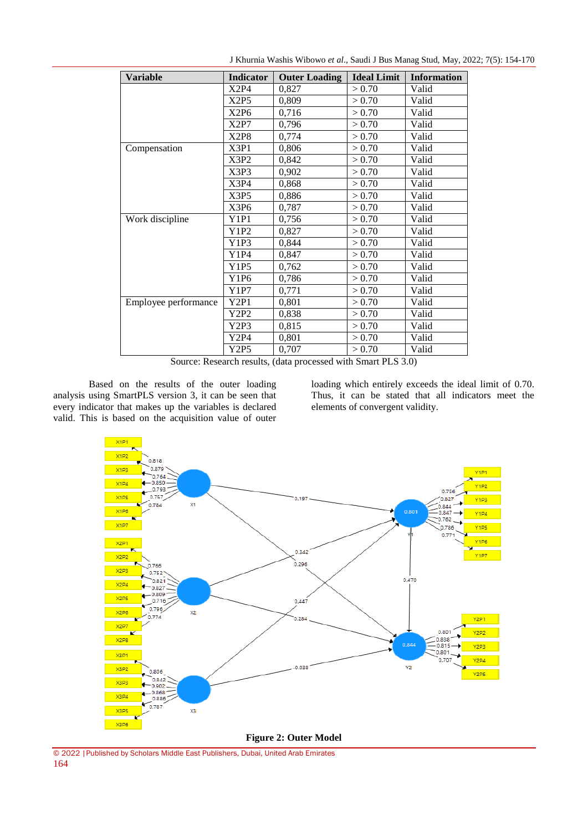| <b>Variable</b>      | Indicator | <b>Outer Loading</b> | <b>Ideal Limit</b> | <b>Information</b> |
|----------------------|-----------|----------------------|--------------------|--------------------|
|                      | X2P4      | 0,827                | > 0.70             | Valid              |
|                      | X2P5      | 0,809                | > 0.70             | Valid              |
|                      | X2P6      | 0,716                | > 0.70             | Valid              |
|                      | X2P7      | 0,796                | > 0.70             | Valid              |
|                      | X2P8      | 0,774                | > 0.70             | Valid              |
| Compensation         | X3P1      | 0,806                | > 0.70             | Valid              |
|                      | X3P2      | 0,842                | > 0.70             | Valid              |
|                      | X3P3      | 0,902                | > 0.70             | Valid              |
|                      | X3P4      | 0,868                | > 0.70             | Valid              |
|                      | X3P5      | 0,886                | > 0.70             | Valid              |
|                      | X3P6      | 0,787                | > 0.70             | Valid              |
| Work discipline      | Y1P1      | 0,756                | > 0.70             | Valid              |
|                      | Y1P2      | 0,827                | > 0.70             | Valid              |
|                      | Y1P3      | 0,844                | > 0.70             | Valid              |
|                      | Y1P4      | 0,847                | > 0.70             | Valid              |
|                      | Y1P5      | 0,762                | > 0.70             | Valid              |
|                      | Y1P6      | 0,786                | > 0.70             | Valid              |
|                      | Y1P7      | 0,771                | > 0.70             | Valid              |
| Employee performance | Y2P1      | 0,801                | > 0.70             | Valid              |
|                      | Y2P2      | 0,838                | > 0.70             | Valid              |
|                      | Y2P3      | 0,815                | > 0.70             | Valid              |
|                      | Y2P4      | 0,801                | > 0.70             | Valid              |
|                      | Y2P5      | 0,707                | > 0.70             | Valid              |

J Khurnia Washis Wibowo *et al*., Saudi J Bus Manag Stud, May, 2022; 7(5): 154-170

Source: Research results, (data processed with Smart PLS 3.0)

Based on the results of the outer loading analysis using SmartPLS version 3, it can be seen that every indicator that makes up the variables is declared valid. This is based on the acquisition value of outer

loading which entirely exceeds the ideal limit of 0.70. Thus, it can be stated that all indicators meet the elements of convergent validity.



© 2022 |Published by Scholars Middle East Publishers, Dubai, United Arab Emirates 164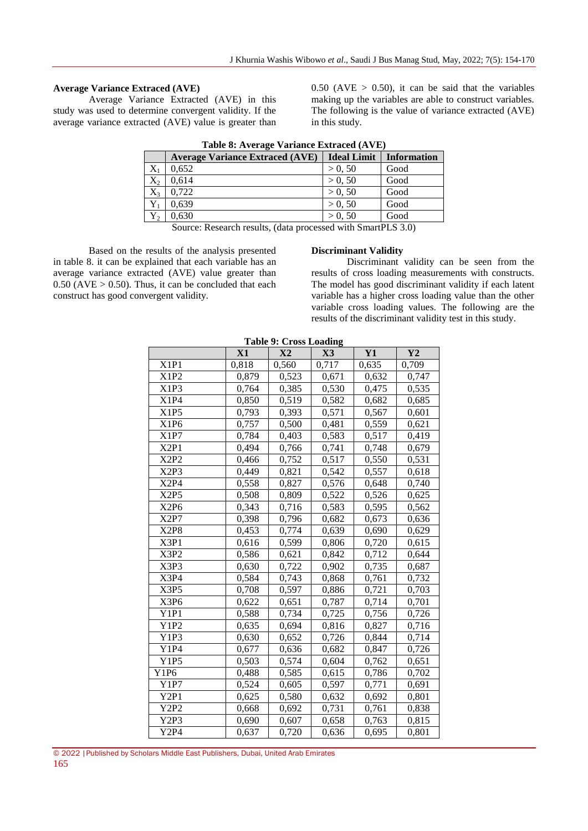# **Average Variance Extraced (AVE)**

Average Variance Extracted (AVE) in this study was used to determine convergent validity. If the average variance extracted (AVE) value is greater than  $0.50$  (AVE  $> 0.50$ ), it can be said that the variables making up the variables are able to construct variables. The following is the value of variance extracted (AVE) in this study.

| Table 8: Average Variance Extraced (AVE) |                                        |                    |                    |  |  |  |  |
|------------------------------------------|----------------------------------------|--------------------|--------------------|--|--|--|--|
|                                          | <b>Average Variance Extraced (AVE)</b> | <b>Ideal Limit</b> | <b>Information</b> |  |  |  |  |
| $X_1$                                    | 0.652                                  | > 0, 50            | Good               |  |  |  |  |
| $X_2$                                    | 0.614                                  | > 0, 50            | Good               |  |  |  |  |
| $X_3$                                    | 0.722                                  | > 0.50             | Good               |  |  |  |  |
| $Y_1$                                    | 0.639                                  | > 0, 50            | Good               |  |  |  |  |
| $Y_2$                                    | 0.630                                  | > 0.50             | Good               |  |  |  |  |

**Table 8: Average Variance Extraced (AVE)**

Source: Research results, (data processed with SmartPLS 3.0)

Based on the results of the analysis presented in table 8. it can be explained that each variable has an average variance extracted (AVE) value greater than  $0.50$  (AVE  $> 0.50$ ). Thus, it can be concluded that each construct has good convergent validity.

#### **Discriminant Validity**

Discriminant validity can be seen from the results of cross loading measurements with constructs. The model has good discriminant validity if each latent variable has a higher cross loading value than the other variable cross loading values. The following are the results of the discriminant validity test in this study.

|                               | X1    | X2    | $\mathbf{X}3$ | Y1    | Y2    |
|-------------------------------|-------|-------|---------------|-------|-------|
| X1P1                          | 0,818 | 0,560 | 0,717         | 0,635 | 0,709 |
| X1P2                          | 0,879 | 0,523 | 0,671         | 0,632 | 0,747 |
| X1P3                          | 0,764 | 0,385 | 0,530         | 0,475 | 0,535 |
| X1P4                          | 0,850 | 0,519 | 0,582         | 0,682 | 0,685 |
| X1P5                          | 0,793 | 0,393 | 0,571         | 0,567 | 0,601 |
| X1P6                          | 0,757 | 0,500 | 0,481         | 0,559 | 0,621 |
| X1P7                          | 0,784 | 0,403 | 0,583         | 0,517 | 0,419 |
| X <sub>2P1</sub>              | 0,494 | 0,766 | 0,741         | 0,748 | 0,679 |
| X2P2                          | 0,466 | 0,752 | 0,517         | 0,550 | 0,531 |
| X <sub>2</sub> P <sub>3</sub> | 0,449 | 0,821 | 0,542         | 0,557 | 0,618 |
| X <sub>2P4</sub>              | 0,558 | 0,827 | 0,576         | 0,648 | 0,740 |
| X <sub>2</sub> P <sub>5</sub> | 0,508 | 0,809 | 0,522         | 0,526 | 0,625 |
| X <sub>2</sub> P <sub>6</sub> | 0,343 | 0,716 | 0,583         | 0,595 | 0,562 |
| X2P7                          | 0,398 | 0,796 | 0,682         | 0,673 | 0,636 |
| X <sub>2</sub> P <sub>8</sub> | 0,453 | 0,774 | 0,639         | 0,690 | 0,629 |
| X3P1                          | 0,616 | 0,599 | 0,806         | 0,720 | 0,615 |
| X3P2                          | 0,586 | 0,621 | 0,842         | 0,712 | 0,644 |
| X3P3                          | 0,630 | 0,722 | 0,902         | 0,735 | 0,687 |
| X3P4                          | 0,584 | 0,743 | 0,868         | 0,761 | 0,732 |
| X3P5                          | 0,708 | 0,597 | 0,886         | 0,721 | 0,703 |
| X3P6                          | 0,622 | 0,651 | 0,787         | 0,714 | 0,701 |
| Y1P1                          | 0,588 | 0,734 | 0,725         | 0,756 | 0,726 |
| Y1P2                          | 0,635 | 0,694 | 0,816         | 0,827 | 0,716 |
| Y1P3                          | 0,630 | 0,652 | 0,726         | 0,844 | 0,714 |
| Y1P4                          | 0,677 | 0,636 | 0,682         | 0,847 | 0,726 |
| Y1P5                          | 0,503 | 0,574 | 0,604         | 0,762 | 0,651 |
| Y1P6                          | 0,488 | 0,585 | 0,615         | 0,786 | 0,702 |
| Y1P7                          | 0,524 | 0,605 | 0,597         | 0,771 | 0,691 |
| Y2P1                          | 0,625 | 0,580 | 0,632         | 0,692 | 0,801 |
| Y2P2                          | 0,668 | 0,692 | 0,731         | 0,761 | 0,838 |
| Y <sub>2P3</sub>              | 0,690 | 0,607 | 0,658         | 0,763 | 0,815 |
| Y2P4                          | 0,637 | 0,720 | 0,636         | 0,695 | 0,801 |

**Table 9: Cross Loading**

|     | © 2022   Published by Scholars Middle East Publishers, Dubai, United Arab Emirates |  |  |  |  |
|-----|------------------------------------------------------------------------------------|--|--|--|--|
| 165 |                                                                                    |  |  |  |  |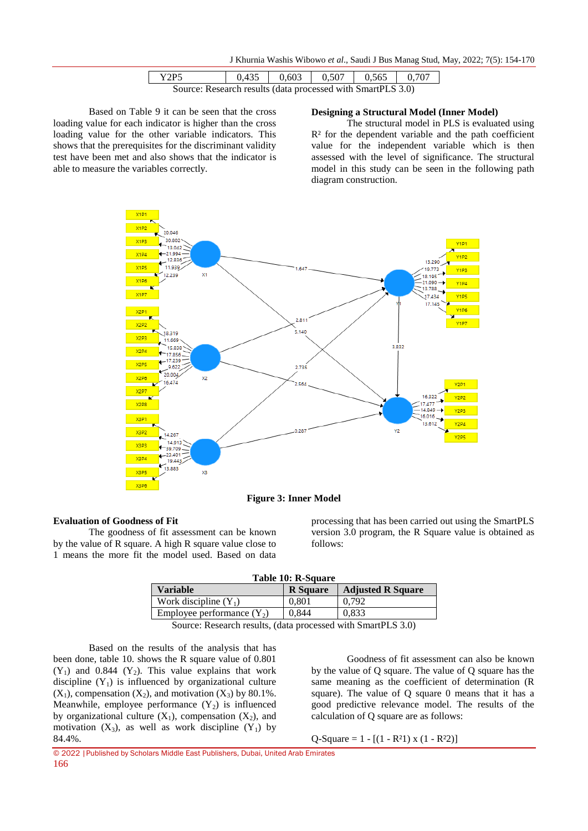J Khurnia Washis Wibowo *et al*., Saudi J Bus Manag Stud, May, 2022; 7(5): 154-170

| Y2P5                                                        | 0.435 | 0.603 | 0.507 | 0.565 | 0.707 |  |
|-------------------------------------------------------------|-------|-------|-------|-------|-------|--|
| Source: Research results (data processed with SmartPLS 3.0) |       |       |       |       |       |  |

Based on Table 9 it can be seen that the cross loading value for each indicator is higher than the cross loading value for the other variable indicators. This shows that the prerequisites for the discriminant validity test have been met and also shows that the indicator is able to measure the variables correctly.

#### **Designing a Structural Model (Inner Model)**

The structural model in PLS is evaluated using R² for the dependent variable and the path coefficient value for the independent variable which is then assessed with the level of significance. The structural model in this study can be seen in the following path diagram construction.



**Figure 3: Inner Model**

#### **Evaluation of Goodness of Fit**

The goodness of fit assessment can be known by the value of R square. A high R square value close to 1 means the more fit the model used. Based on data

processing that has been carried out using the SmartPLS version 3.0 program, the R Square value is obtained as follows:

| Table 10: R-Square |       |                              |  |  |  |  |
|--------------------|-------|------------------------------|--|--|--|--|
| e                  |       | <b>R</b> Square   Adjusted R |  |  |  |  |
|                    | 0.001 |                              |  |  |  |  |

| <b>Variable</b>                                                                                 | <b>R</b> Square | <b>Adjusted R Square</b> |  |  |  |
|-------------------------------------------------------------------------------------------------|-----------------|--------------------------|--|--|--|
| Work discipline $(Y_1)$                                                                         | 0.801           | 0.792                    |  |  |  |
| Employee performance $(Y_2)$                                                                    | 0,844           | 0.833                    |  |  |  |
| $S_{\text{ouron}}$ Desearch results (data processed with $S_{\text{mart}}$ DI $S_{\text{av}}$ ) |                 |                          |  |  |  |

Source: Research results, (data processed with SmartPLS 3.0)

Based on the results of the analysis that has been done, table 10. shows the R square value of 0.801  $(Y_1)$  and 0.844  $(Y_2)$ . This value explains that work discipline  $(Y_1)$  is influenced by organizational culture  $(X_1)$ , compensation  $(X_2)$ , and motivation  $(X_3)$  by 80.1%. Meanwhile, employee performance  $(Y_2)$  is influenced by organizational culture  $(X_1)$ , compensation  $(X_2)$ , and motivation  $(X_3)$ , as well as work discipline  $(Y_1)$  by 84.4%.

Goodness of fit assessment can also be known by the value of Q square. The value of Q square has the same meaning as the coefficient of determination (R square). The value of Q square 0 means that it has a good predictive relevance model. The results of the calculation of Q square are as follows:

Q-Square =  $1 - [(1 - R^2) \times (1 - R^2)]$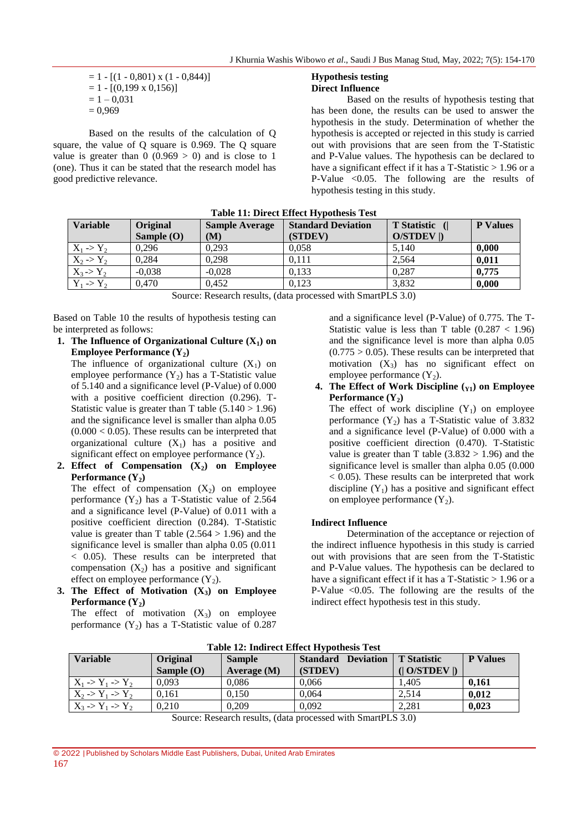$$
= 1 - [(1 - 0.801) \times (1 - 0.844)]
$$
  
= 1 - [(0.199 \times 0.156)]  
= 1 - 0.031  
= 0.969

Based on the results of the calculation of Q square, the value of Q square is 0.969. The Q square value is greater than  $0$  (0.969 > 0) and is close to 1 (one). Thus it can be stated that the research model has good predictive relevance.

# **Hypothesis testing**

# **Direct Influence**

Based on the results of hypothesis testing that has been done, the results can be used to answer the hypothesis in the study. Determination of whether the hypothesis is accepted or rejected in this study is carried out with provisions that are seen from the T-Statistic and P-Value values. The hypothesis can be declared to have a significant effect if it has a T-Statistic  $> 1.96$  or a P-Value  $\leq 0.05$ . The following are the results of hypothesis testing in this study.

| <b>Variable</b>       | Original<br>Sample $(O)$ | <b>Sample Average</b><br>(M) | <b>Standard Deviation</b><br>(STDEV) | T Statistic (<br>O/STDEV  ) | <b>P</b> Values |
|-----------------------|--------------------------|------------------------------|--------------------------------------|-----------------------------|-----------------|
| $X_1 \rightarrow Y_2$ | 0.296                    | 0.293                        | 0,058                                | 5,140                       | 0,000           |
| $X_2 \rightarrow Y_2$ | 0.284                    | 0,298                        | 0.111                                | 2,564                       | 0,011           |
| $X_3 > Y_2$           | $-0.038$                 | $-0.028$                     | 0.133                                | 0.287                       | 0,775           |
| $Y_1 \rightarrow Y_2$ | 0.470                    | 0.452                        | 0,123                                | 3,832                       | 0,000           |

**Table 11: Direct Effect Hypothesis Test**

Source: Research results, (data processed with SmartPLS 3.0)

Based on Table 10 the results of hypothesis testing can be interpreted as follows:

**1. The Influence of Organizational Culture (X1) on Employee Performance (Y2)**

The influence of organizational culture  $(X_1)$  on employee performance  $(Y_2)$  has a T-Statistic value of 5.140 and a significance level (P-Value) of 0.000 with a positive coefficient direction (0.296). T-Statistic value is greater than T table  $(5.140 > 1.96)$ and the significance level is smaller than alpha 0.05  $(0.000 < 0.05)$ . These results can be interpreted that organizational culture  $(X_1)$  has a positive and significant effect on employee performance  $(Y_2)$ .

**2. Effect of Compensation (X2) on Employee**  Performance  $(Y_2)$ 

The effect of compensation  $(X_2)$  on employee performance  $(Y_2)$  has a T-Statistic value of 2.564 and a significance level (P-Value) of 0.011 with a positive coefficient direction (0.284). T-Statistic value is greater than T table  $(2.564 > 1.96)$  and the significance level is smaller than alpha 0.05 (0.011 < 0.05). These results can be interpreted that compensation  $(X_2)$  has a positive and significant effect on employee performance  $(Y_2)$ .

**3. The Effect of Motivation (X3) on Employee Performance**  $(Y_2)$ 

The effect of motivation  $(X_3)$  on employee performance  $(Y_2)$  has a T-Statistic value of 0.287 and a significance level (P-Value) of 0.775. The T-Statistic value is less than T table  $(0.287 < 1.96)$ and the significance level is more than alpha 0.05  $(0.775 > 0.05)$ . These results can be interpreted that motivation  $(X_3)$  has no significant effect on employee performance  $(Y_2)$ .

**4.** The Effect of Work Discipline  $(Y_1)$  on Employee **Performance**  $(Y_2)$ 

The effect of work discipline  $(Y_1)$  on employee performance  $(Y_2)$  has a T-Statistic value of 3.832 and a significance level (P-Value) of 0.000 with a positive coefficient direction (0.470). T-Statistic value is greater than T table  $(3.832 > 1.96)$  and the significance level is smaller than alpha 0.05 (0.000  $<$  0.05). These results can be interpreted that work discipline  $(Y_1)$  has a positive and significant effect on employee performance  $(Y_2)$ .

#### **Indirect Influence**

Determination of the acceptance or rejection of the indirect influence hypothesis in this study is carried out with provisions that are seen from the T-Statistic and P-Value values. The hypothesis can be declared to have a significant effect if it has a T-Statistic  $> 1.96$  or a P-Value  $\leq 0.05$ . The following are the results of the indirect effect hypothesis test in this study.

| <b>Variable</b>                       | <b>Original</b><br>Sample $(O)$ | <b>Sample</b><br>Average $(M)$ | <b>Standard</b><br><b>Deviation</b><br>(STDEV) | <b>T</b> Statistic<br>$(1$ O/STDEV $\parallel$ | <b>P</b> Values |
|---------------------------------------|---------------------------------|--------------------------------|------------------------------------------------|------------------------------------------------|-----------------|
| $X_1 \rightarrow Y_1 \rightarrow Y_2$ | 0,093                           | 0,086                          | 0,066                                          | 1.405                                          | 0.161           |
| $X_2 \rightarrow Y_1 \rightarrow Y_2$ | 0.161                           | 0.150                          | 0.064                                          | 2.514                                          | 0.012           |
| $X_3 \rightarrow Y_1 \rightarrow Y_2$ | 0.210                           | 0.209                          | 0.092                                          | 2,281                                          | 0.023           |

**Table 12: Indirect Effect Hypothesis Test**

Source: Research results, (data processed with SmartPLS 3.0)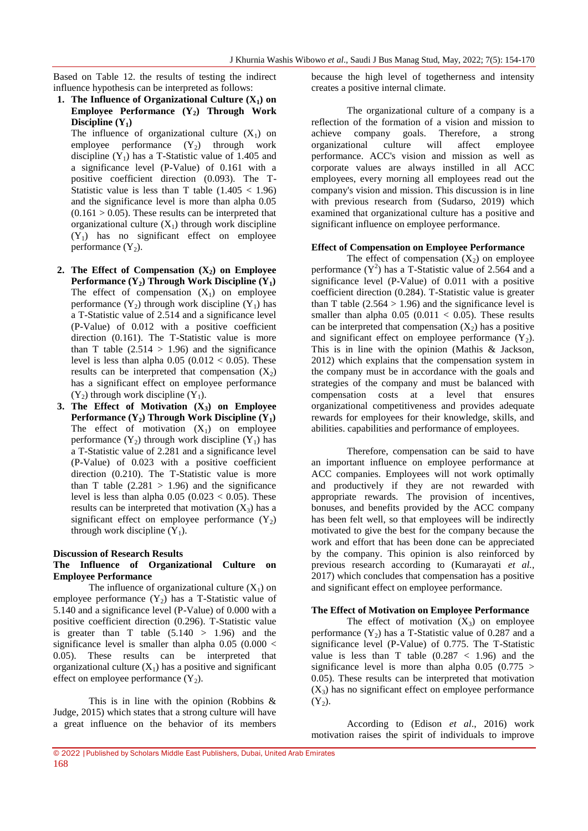Based on Table 12. the results of testing the indirect influence hypothesis can be interpreted as follows:

**1.** The Influence of Organizational Culture  $(X_1)$  on **Employee Performance (Y2) Through Work Discipline**  $(Y_1)$ 

The influence of organizational culture  $(X_1)$  on employee performance  $(Y_2)$  through work discipline  $(Y_1)$  has a T-Statistic value of 1.405 and a significance level (P-Value) of 0.161 with a positive coefficient direction (0.093). The T-Statistic value is less than T table  $(1.405 < 1.96)$ and the significance level is more than alpha 0.05  $(0.161 > 0.05)$ . These results can be interpreted that organizational culture  $(X_1)$  through work discipline  $(Y_1)$  has no significant effect on employee performance  $(Y_2)$ .

- **2.** The Effect of Compensation  $(X_2)$  on Employee **Performance (Y<sub>2</sub>) Through Work Discipline (Y<sub>1</sub>)** The effect of compensation  $(X_1)$  on employee performance  $(Y_2)$  through work discipline  $(Y_1)$  has a T-Statistic value of 2.514 and a significance level (P-Value) of 0.012 with a positive coefficient direction (0.161). The T-Statistic value is more than T table  $(2.514 > 1.96)$  and the significance level is less than alpha  $0.05$  ( $0.012 < 0.05$ ). These results can be interpreted that compensation  $(X_2)$ has a significant effect on employee performance  $(Y_2)$  through work discipline  $(Y_1)$ .
- **3. The Effect of Motivation (X3) on Employee Performance (Y<sub>2</sub>) Through Work Discipline (Y<sub>1</sub>)** The effect of motivation  $(X_1)$  on employee performance  $(Y_2)$  through work discipline  $(Y_1)$  has a T-Statistic value of 2.281 and a significance level (P-Value) of 0.023 with a positive coefficient direction (0.210). The T-Statistic value is more than T table  $(2.281 > 1.96)$  and the significance level is less than alpha  $0.05$   $(0.023 < 0.05)$ . These results can be interpreted that motivation  $(X_3)$  has a significant effect on employee performance  $(Y_2)$ through work discipline  $(Y_1)$ .

#### **Discussion of Research Results**

#### **The Influence of Organizational Culture on Employee Performance**

The influence of organizational culture  $(X_1)$  on employee performance  $(Y_2)$  has a T-Statistic value of 5.140 and a significance level (P-Value) of 0.000 with a positive coefficient direction (0.296). T-Statistic value is greater than T table  $(5.140 > 1.96)$  and the significance level is smaller than alpha  $0.05$  ( $0.000 <$ 0.05). These results can be interpreted that organizational culture  $(X_1)$  has a positive and significant effect on employee performance  $(Y_2)$ .

This is in line with the opinion (Robbins & Judge, 2015) which states that a strong culture will have a great influence on the behavior of its members because the high level of togetherness and intensity creates a positive internal climate.

The organizational culture of a company is a reflection of the formation of a vision and mission to achieve company goals. Therefore, a strong organizational culture will affect employee performance. ACC's vision and mission as well as corporate values are always instilled in all ACC employees, every morning all employees read out the company's vision and mission. This discussion is in line with previous research from (Sudarso, 2019) which examined that organizational culture has a positive and significant influence on employee performance.

#### **Effect of Compensation on Employee Performance**

The effect of compensation  $(X_2)$  on employee performance  $(Y^2)$  has a T-Statistic value of 2.564 and a significance level (P-Value) of 0.011 with a positive coefficient direction (0.284). T-Statistic value is greater than T table  $(2.564 > 1.96)$  and the significance level is smaller than alpha  $0.05$  ( $0.011 < 0.05$ ). These results can be interpreted that compensation  $(X_2)$  has a positive and significant effect on employee performance  $(Y_2)$ . This is in line with the opinion (Mathis & Jackson, 2012) which explains that the compensation system in the company must be in accordance with the goals and strategies of the company and must be balanced with compensation costs at a level that ensures organizational competitiveness and provides adequate rewards for employees for their knowledge, skills, and abilities. capabilities and performance of employees.

Therefore, compensation can be said to have an important influence on employee performance at ACC companies. Employees will not work optimally and productively if they are not rewarded with appropriate rewards. The provision of incentives, bonuses, and benefits provided by the ACC company has been felt well, so that employees will be indirectly motivated to give the best for the company because the work and effort that has been done can be appreciated by the company. This opinion is also reinforced by previous research according to (Kumarayati *et al.*, 2017) which concludes that compensation has a positive and significant effect on employee performance.

#### **The Effect of Motivation on Employee Performance**

The effect of motivation  $(X_3)$  on employee performance  $(Y_2)$  has a T-Statistic value of 0.287 and a significance level (P-Value) of 0.775. The T-Statistic value is less than T table  $(0.287 < 1.96)$  and the significance level is more than alpha  $0.05$   $(0.775 >$ 0.05). These results can be interpreted that motivation  $(X_3)$  has no significant effect on employee performance  $(Y_2)$ .

According to (Edison *et al*., 2016) work motivation raises the spirit of individuals to improve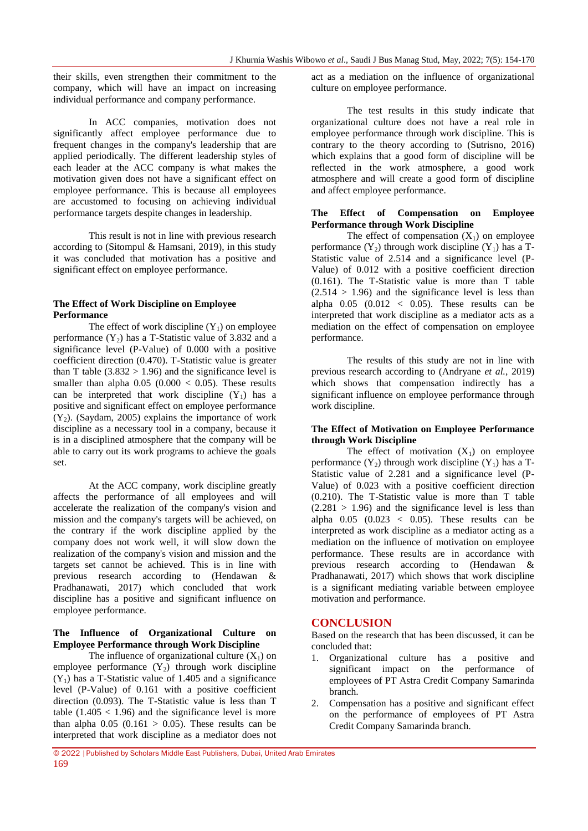their skills, even strengthen their commitment to the company, which will have an impact on increasing individual performance and company performance.

In ACC companies, motivation does not significantly affect employee performance due to frequent changes in the company's leadership that are applied periodically. The different leadership styles of each leader at the ACC company is what makes the motivation given does not have a significant effect on employee performance. This is because all employees are accustomed to focusing on achieving individual performance targets despite changes in leadership.

This result is not in line with previous research according to (Sitompul & Hamsani, 2019), in this study it was concluded that motivation has a positive and significant effect on employee performance.

#### **The Effect of Work Discipline on Employee Performance**

The effect of work discipline  $(Y_1)$  on employee performance  $(Y_2)$  has a T-Statistic value of 3.832 and a significance level (P-Value) of 0.000 with a positive coefficient direction (0.470). T-Statistic value is greater than T table  $(3.832 > 1.96)$  and the significance level is smaller than alpha  $0.05$  ( $0.000 < 0.05$ ). These results can be interpreted that work discipline  $(Y_1)$  has a positive and significant effect on employee performance  $(Y_2)$ . (Saydam, 2005) explains the importance of work discipline as a necessary tool in a company, because it is in a disciplined atmosphere that the company will be able to carry out its work programs to achieve the goals set.

At the ACC company, work discipline greatly affects the performance of all employees and will accelerate the realization of the company's vision and mission and the company's targets will be achieved, on the contrary if the work discipline applied by the company does not work well, it will slow down the realization of the company's vision and mission and the targets set cannot be achieved. This is in line with previous research according to (Hendawan & Pradhanawati, 2017) which concluded that work discipline has a positive and significant influence on employee performance.

# **The Influence of Organizational Culture on Employee Performance through Work Discipline**

The influence of organizational culture  $(X_1)$  on employee performance  $(Y_2)$  through work discipline  $(Y_1)$  has a T-Statistic value of 1.405 and a significance level (P-Value) of 0.161 with a positive coefficient direction (0.093). The T-Statistic value is less than T table  $(1.405 < 1.96)$  and the significance level is more than alpha  $0.05$  ( $0.161 > 0.05$ ). These results can be interpreted that work discipline as a mediator does not

act as a mediation on the influence of organizational culture on employee performance.

The test results in this study indicate that organizational culture does not have a real role in employee performance through work discipline. This is contrary to the theory according to (Sutrisno, 2016) which explains that a good form of discipline will be reflected in the work atmosphere, a good work atmosphere and will create a good form of discipline and affect employee performance.

#### **The Effect of Compensation on Employee Performance through Work Discipline**

The effect of compensation  $(X_1)$  on employee performance  $(Y_2)$  through work discipline  $(Y_1)$  has a T-Statistic value of 2.514 and a significance level (P-Value) of 0.012 with a positive coefficient direction (0.161). The T-Statistic value is more than T table  $(2.514 > 1.96)$  and the significance level is less than alpha  $0.05$   $(0.012 < 0.05)$ . These results can be interpreted that work discipline as a mediator acts as a mediation on the effect of compensation on employee performance.

The results of this study are not in line with previous research according to (Andryane *et al.*, 2019) which shows that compensation indirectly has a significant influence on employee performance through work discipline.

#### **The Effect of Motivation on Employee Performance through Work Discipline**

The effect of motivation  $(X_1)$  on employee performance  $(Y_2)$  through work discipline  $(Y_1)$  has a T-Statistic value of 2.281 and a significance level (P-Value) of 0.023 with a positive coefficient direction (0.210). The T-Statistic value is more than T table  $(2.281 > 1.96)$  and the significance level is less than alpha  $0.05$   $(0.023 \, < 0.05)$ . These results can be interpreted as work discipline as a mediator acting as a mediation on the influence of motivation on employee performance. These results are in accordance with previous research according to (Hendawan & Pradhanawati, 2017) which shows that work discipline is a significant mediating variable between employee motivation and performance.

# **CONCLUSION**

Based on the research that has been discussed, it can be concluded that:

- 1. Organizational culture has a positive and significant impact on the performance of employees of PT Astra Credit Company Samarinda branch.
- 2. Compensation has a positive and significant effect on the performance of employees of PT Astra Credit Company Samarinda branch.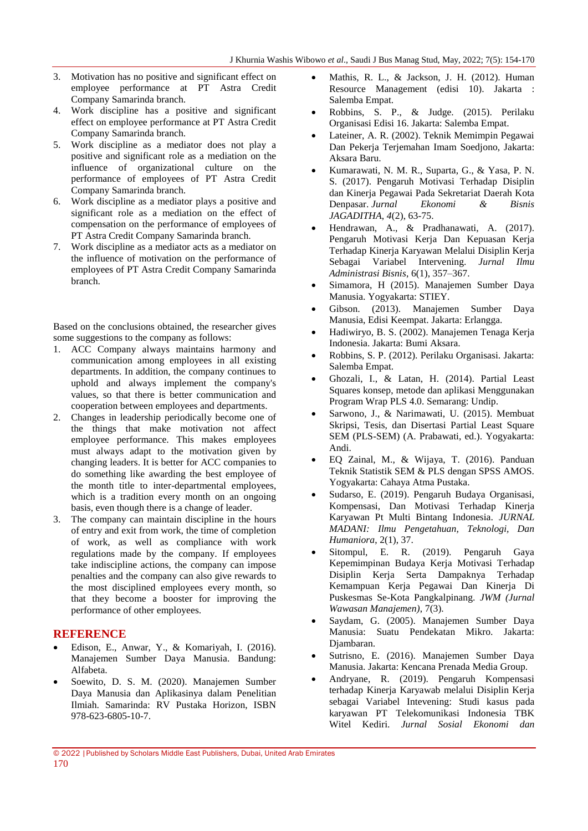- 3. Motivation has no positive and significant effect on employee performance at PT Astra Credit Company Samarinda branch.
- 4. Work discipline has a positive and significant effect on employee performance at PT Astra Credit Company Samarinda branch.
- 5. Work discipline as a mediator does not play a positive and significant role as a mediation on the influence of organizational culture on the performance of employees of PT Astra Credit Company Samarinda branch.
- 6. Work discipline as a mediator plays a positive and significant role as a mediation on the effect of compensation on the performance of employees of PT Astra Credit Company Samarinda branch.
- 7. Work discipline as a mediator acts as a mediator on the influence of motivation on the performance of employees of PT Astra Credit Company Samarinda branch.

Based on the conclusions obtained, the researcher gives some suggestions to the company as follows:

- 1. ACC Company always maintains harmony and communication among employees in all existing departments. In addition, the company continues to uphold and always implement the company's values, so that there is better communication and cooperation between employees and departments.
- 2. Changes in leadership periodically become one of the things that make motivation not affect employee performance. This makes employees must always adapt to the motivation given by changing leaders. It is better for ACC companies to do something like awarding the best employee of the month title to inter-departmental employees, which is a tradition every month on an ongoing basis, even though there is a change of leader.
- 3. The company can maintain discipline in the hours of entry and exit from work, the time of completion of work, as well as compliance with work regulations made by the company. If employees take indiscipline actions, the company can impose penalties and the company can also give rewards to the most disciplined employees every month, so that they become a booster for improving the performance of other employees.

# **REFERENCE**

- Edison, E., Anwar, Y., & Komariyah, I. (2016). Manajemen Sumber Daya Manusia. Bandung: Alfabeta.
- Soewito, D. S. M. (2020). Manajemen Sumber Daya Manusia dan Aplikasinya dalam Penelitian Ilmiah. Samarinda: RV Pustaka Horizon, ISBN 978-623-6805-10-7.
- Mathis, R. L., & Jackson, J. H. (2012). Human Resource Management (edisi 10). Jakarta : Salemba Empat.
- Robbins, S. P., & Judge. (2015). Perilaku Organisasi Edisi 16. Jakarta: Salemba Empat.
- Lateiner, A. R. (2002). Teknik Memimpin Pegawai Dan Pekerja Terjemahan Imam Soedjono, Jakarta: Aksara Baru.
- Kumarawati, N. M. R., Suparta, G., & Yasa, P. N. S. (2017). Pengaruh Motivasi Terhadap Disiplin dan Kinerja Pegawai Pada Sekretariat Daerah Kota Denpasar. *Jurnal Ekonomi & Bisnis JAGADITHA*, *4*(2), 63-75.
- Hendrawan, A., & Pradhanawati, A. (2017). Pengaruh Motivasi Kerja Dan Kepuasan Kerja Terhadap Kinerja Karyawan Melalui Disiplin Kerja Sebagai Variabel Intervening. *Jurnal Ilmu Administrasi Bisnis*, 6(1), 357–367.
- Simamora, H (2015). Manajemen Sumber Daya Manusia. Yogyakarta: STIEY.
- Gibson. (2013). Manajemen Sumber Daya Manusia, Edisi Keempat. Jakarta: Erlangga.
- Hadiwiryo, B. S. (2002). Manajemen Tenaga Kerja Indonesia. Jakarta: Bumi Aksara.
- Robbins, S. P. (2012). Perilaku Organisasi. Jakarta: Salemba Empat.
- Ghozali, I., & Latan, H. (2014). Partial Least Squares konsep, metode dan aplikasi Menggunakan Program Wrap PLS 4.0. Semarang: Undip.
- Sarwono, J., & Narimawati, U. (2015). Membuat Skripsi, Tesis, dan Disertasi Partial Least Square SEM (PLS-SEM) (A. Prabawati, ed.). Yogyakarta: Andi.
- EQ Zainal, M., & Wijaya, T. (2016). Panduan Teknik Statistik SEM & PLS dengan SPSS AMOS. Yogyakarta: Cahaya Atma Pustaka.
- Sudarso, E. (2019). Pengaruh Budaya Organisasi, Kompensasi, Dan Motivasi Terhadap Kinerja Karyawan Pt Multi Bintang Indonesia. *JURNAL MADANI: Ilmu Pengetahuan, Teknologi, Dan Humaniora*, 2(1), 37.
- Sitompul, E. R. (2019). Pengaruh Gaya Kepemimpinan Budaya Kerja Motivasi Terhadap Disiplin Kerja Serta Dampaknya Terhadap Kemampuan Kerja Pegawai Dan Kinerja Di Puskesmas Se-Kota Pangkalpinang. *JWM (Jurnal Wawasan Manajemen)*, 7(3).
- Saydam, G. (2005). Manajemen Sumber Daya Manusia: Suatu Pendekatan Mikro. Jakarta: Djambaran.
- Sutrisno, E. (2016). Manajemen Sumber Daya Manusia. Jakarta: Kencana Prenada Media Group.
- Andryane, R. (2019). Pengaruh Kompensasi terhadap Kinerja Karyawab melalui Disiplin Kerja sebagai Variabel Intevening: Studi kasus pada karyawan PT Telekomunikasi Indonesia TBK Witel Kediri. *Jurnal Sosial Ekonomi dan*